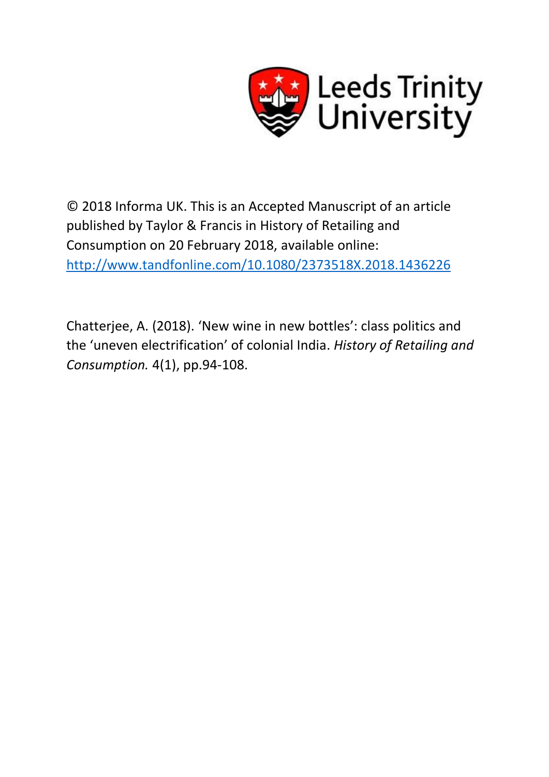

© 2018 Informa UK. This is an Accepted Manuscript of an article published by Taylor & Francis in History of Retailing and Consumption on 20 February 2018, available online: <http://www.tandfonline.com/10.1080/2373518X.2018.1436226>

Chatterjee, A. (2018). 'New wine in new bottles': class politics and the 'uneven electrification' of colonial India. *History of Retailing and Consumption.* 4(1), pp.94-108.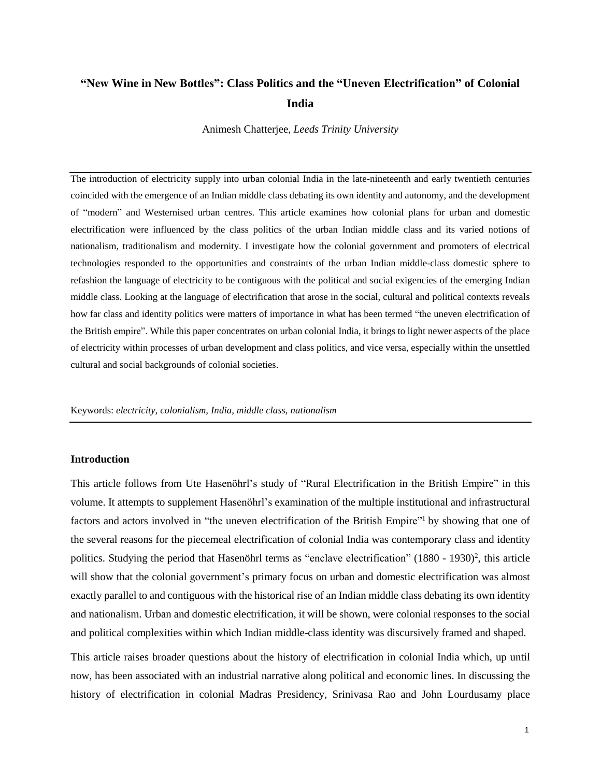# **"New Wine in New Bottles": Class Politics and the "Uneven Electrification" of Colonial India**

Animesh Chatterjee, *Leeds Trinity University*

The introduction of electricity supply into urban colonial India in the late-nineteenth and early twentieth centuries coincided with the emergence of an Indian middle class debating its own identity and autonomy, and the development of "modern" and Westernised urban centres. This article examines how colonial plans for urban and domestic electrification were influenced by the class politics of the urban Indian middle class and its varied notions of nationalism, traditionalism and modernity. I investigate how the colonial government and promoters of electrical technologies responded to the opportunities and constraints of the urban Indian middle-class domestic sphere to refashion the language of electricity to be contiguous with the political and social exigencies of the emerging Indian middle class. Looking at the language of electrification that arose in the social, cultural and political contexts reveals how far class and identity politics were matters of importance in what has been termed "the uneven electrification of the British empire". While this paper concentrates on urban colonial India, it brings to light newer aspects of the place of electricity within processes of urban development and class politics, and vice versa, especially within the unsettled cultural and social backgrounds of colonial societies.

### Keywords: *electricity, colonialism, India, middle class, nationalism*

# **Introduction**

This article follows from Ute Hasenöhrl's study of "Rural Electrification in the British Empire" in this volume. It attempts to supplement Hasenöhrl's examination of the multiple institutional and infrastructural factors and actors involved in "the uneven electrification of the British Empire"<sup>1</sup> by showing that one of the several reasons for the piecemeal electrification of colonial India was contemporary class and identity politics. Studying the period that Hasenöhrl terms as "enclave electrification" (1880 - 1930)<sup>2</sup>, this article will show that the colonial government's primary focus on urban and domestic electrification was almost exactly parallel to and contiguous with the historical rise of an Indian middle class debating its own identity and nationalism. Urban and domestic electrification, it will be shown, were colonial responses to the social and political complexities within which Indian middle-class identity was discursively framed and shaped.

This article raises broader questions about the history of electrification in colonial India which, up until now, has been associated with an industrial narrative along political and economic lines. In discussing the history of electrification in colonial Madras Presidency, Srinivasa Rao and John Lourdusamy place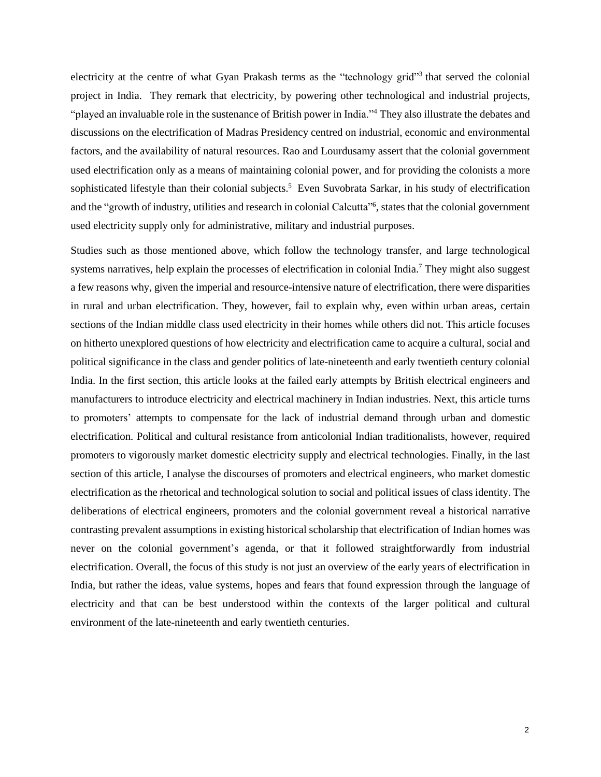electricity at the centre of what Gyan Prakash terms as the "technology grid"<sup>3</sup> that served the colonial project in India. They remark that electricity, by powering other technological and industrial projects, "played an invaluable role in the sustenance of British power in India."<sup>4</sup> They also illustrate the debates and discussions on the electrification of Madras Presidency centred on industrial, economic and environmental factors, and the availability of natural resources. Rao and Lourdusamy assert that the colonial government used electrification only as a means of maintaining colonial power, and for providing the colonists a more sophisticated lifestyle than their colonial subjects.<sup>5</sup> Even Suvobrata Sarkar, in his study of electrification and the "growth of industry, utilities and research in colonial Calcutta"<sup>6</sup> , states that the colonial government used electricity supply only for administrative, military and industrial purposes.

Studies such as those mentioned above, which follow the technology transfer, and large technological systems narratives, help explain the processes of electrification in colonial India.<sup>7</sup> They might also suggest a few reasons why, given the imperial and resource-intensive nature of electrification, there were disparities in rural and urban electrification. They, however, fail to explain why, even within urban areas, certain sections of the Indian middle class used electricity in their homes while others did not. This article focuses on hitherto unexplored questions of how electricity and electrification came to acquire a cultural, social and political significance in the class and gender politics of late-nineteenth and early twentieth century colonial India. In the first section, this article looks at the failed early attempts by British electrical engineers and manufacturers to introduce electricity and electrical machinery in Indian industries. Next, this article turns to promoters' attempts to compensate for the lack of industrial demand through urban and domestic electrification. Political and cultural resistance from anticolonial Indian traditionalists, however, required promoters to vigorously market domestic electricity supply and electrical technologies. Finally, in the last section of this article, I analyse the discourses of promoters and electrical engineers, who market domestic electrification as the rhetorical and technological solution to social and political issues of class identity. The deliberations of electrical engineers, promoters and the colonial government reveal a historical narrative contrasting prevalent assumptions in existing historical scholarship that electrification of Indian homes was never on the colonial government's agenda, or that it followed straightforwardly from industrial electrification. Overall, the focus of this study is not just an overview of the early years of electrification in India, but rather the ideas, value systems, hopes and fears that found expression through the language of electricity and that can be best understood within the contexts of the larger political and cultural environment of the late-nineteenth and early twentieth centuries.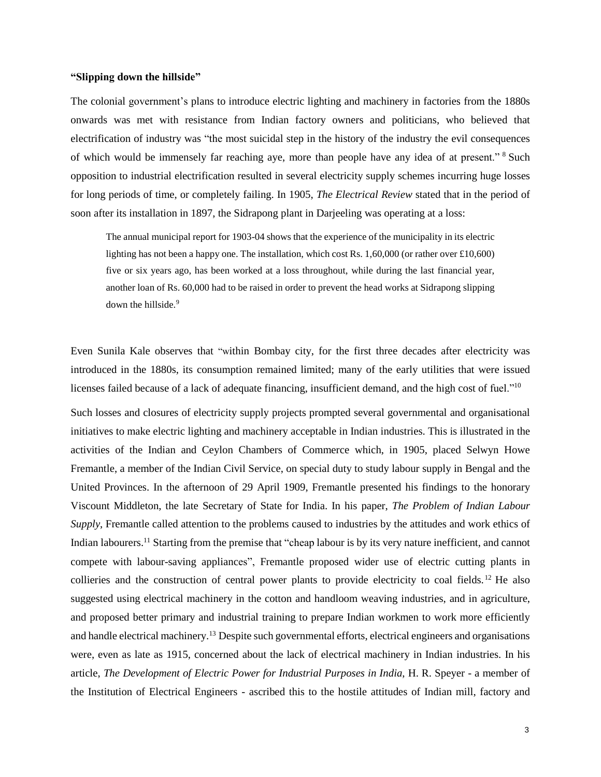#### **"Slipping down the hillside"**

The colonial government's plans to introduce electric lighting and machinery in factories from the 1880s onwards was met with resistance from Indian factory owners and politicians, who believed that electrification of industry was "the most suicidal step in the history of the industry the evil consequences of which would be immensely far reaching aye, more than people have any idea of at present." <sup>8</sup> Such opposition to industrial electrification resulted in several electricity supply schemes incurring huge losses for long periods of time, or completely failing. In 1905, *The Electrical Review* stated that in the period of soon after its installation in 1897, the Sidrapong plant in Darjeeling was operating at a loss:

The annual municipal report for 1903-04 shows that the experience of the municipality in its electric lighting has not been a happy one. The installation, which cost Rs. 1,60,000 (or rather over £10,600) five or six years ago, has been worked at a loss throughout, while during the last financial year, another loan of Rs. 60,000 had to be raised in order to prevent the head works at Sidrapong slipping down the hillside.<sup>9</sup>

Even Sunila Kale observes that "within Bombay city, for the first three decades after electricity was introduced in the 1880s, its consumption remained limited; many of the early utilities that were issued licenses failed because of a lack of adequate financing, insufficient demand, and the high cost of fuel."<sup>10</sup>

Such losses and closures of electricity supply projects prompted several governmental and organisational initiatives to make electric lighting and machinery acceptable in Indian industries. This is illustrated in the activities of the Indian and Ceylon Chambers of Commerce which, in 1905, placed Selwyn Howe Fremantle, a member of the Indian Civil Service, on special duty to study labour supply in Bengal and the United Provinces. In the afternoon of 29 April 1909, Fremantle presented his findings to the honorary Viscount Middleton, the late Secretary of State for India. In his paper, *The Problem of Indian Labour Supply*, Fremantle called attention to the problems caused to industries by the attitudes and work ethics of Indian labourers.<sup>11</sup> Starting from the premise that "cheap labour is by its very nature inefficient, and cannot compete with labour-saving appliances", Fremantle proposed wider use of electric cutting plants in collieries and the construction of central power plants to provide electricity to coal fields.<sup>12</sup> He also suggested using electrical machinery in the cotton and handloom weaving industries, and in agriculture, and proposed better primary and industrial training to prepare Indian workmen to work more efficiently and handle electrical machinery.<sup>13</sup> Despite such governmental efforts, electrical engineers and organisations were, even as late as 1915, concerned about the lack of electrical machinery in Indian industries. In his article, *The Development of Electric Power for Industrial Purposes in India*, H. R. Speyer - a member of the Institution of Electrical Engineers - ascribed this to the hostile attitudes of Indian mill, factory and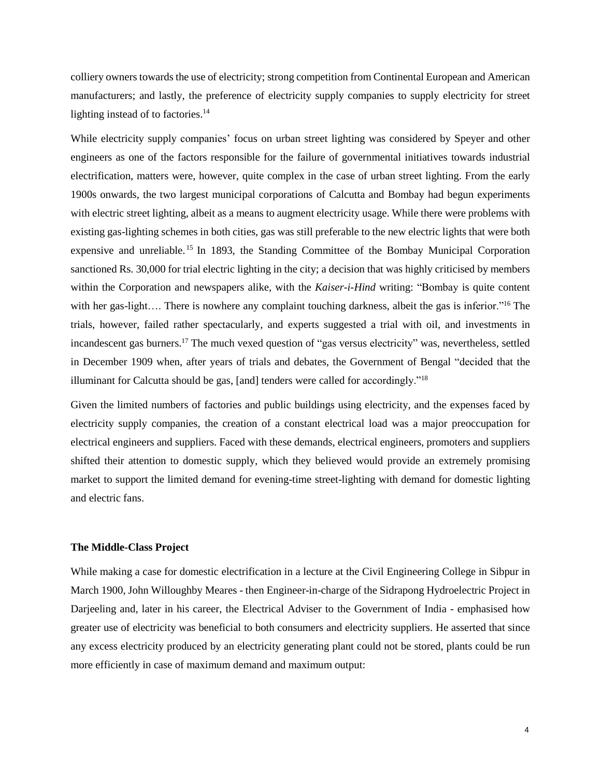colliery owners towards the use of electricity; strong competition from Continental European and American manufacturers; and lastly, the preference of electricity supply companies to supply electricity for street lighting instead of to factories.<sup>14</sup>

While electricity supply companies' focus on urban street lighting was considered by Speyer and other engineers as one of the factors responsible for the failure of governmental initiatives towards industrial electrification, matters were, however, quite complex in the case of urban street lighting. From the early 1900s onwards, the two largest municipal corporations of Calcutta and Bombay had begun experiments with electric street lighting, albeit as a means to augment electricity usage. While there were problems with existing gas-lighting schemes in both cities, gas was still preferable to the new electric lights that were both expensive and unreliable. <sup>15</sup> In 1893, the Standing Committee of the Bombay Municipal Corporation sanctioned Rs. 30,000 for trial electric lighting in the city; a decision that was highly criticised by members within the Corporation and newspapers alike, with the *Kaiser-i-Hind* writing: "Bombay is quite content with her gas-light.... There is nowhere any complaint touching darkness, albeit the gas is inferior."<sup>16</sup> The trials, however, failed rather spectacularly, and experts suggested a trial with oil, and investments in incandescent gas burners.<sup>17</sup> The much vexed question of "gas versus electricity" was, nevertheless, settled in December 1909 when, after years of trials and debates, the Government of Bengal "decided that the illuminant for Calcutta should be gas, [and] tenders were called for accordingly."<sup>18</sup>

Given the limited numbers of factories and public buildings using electricity, and the expenses faced by electricity supply companies, the creation of a constant electrical load was a major preoccupation for electrical engineers and suppliers. Faced with these demands, electrical engineers, promoters and suppliers shifted their attention to domestic supply, which they believed would provide an extremely promising market to support the limited demand for evening-time street-lighting with demand for domestic lighting and electric fans.

## **The Middle-Class Project**

While making a case for domestic electrification in a lecture at the Civil Engineering College in Sibpur in March 1900, John Willoughby Meares - then Engineer-in-charge of the Sidrapong Hydroelectric Project in Darjeeling and, later in his career, the Electrical Adviser to the Government of India - emphasised how greater use of electricity was beneficial to both consumers and electricity suppliers. He asserted that since any excess electricity produced by an electricity generating plant could not be stored, plants could be run more efficiently in case of maximum demand and maximum output: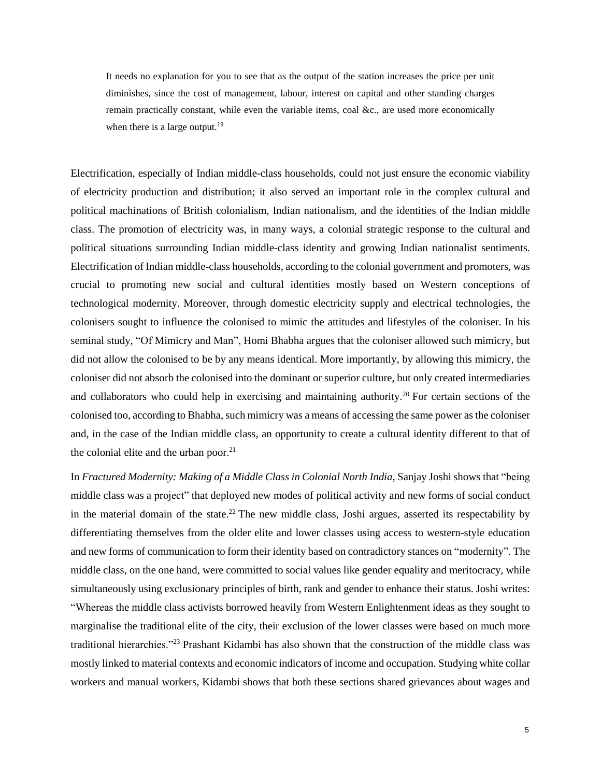It needs no explanation for you to see that as the output of the station increases the price per unit diminishes, since the cost of management, labour, interest on capital and other standing charges remain practically constant, while even the variable items, coal &c., are used more economically when there is a large output.<sup>19</sup>

Electrification, especially of Indian middle-class households, could not just ensure the economic viability of electricity production and distribution; it also served an important role in the complex cultural and political machinations of British colonialism, Indian nationalism, and the identities of the Indian middle class. The promotion of electricity was, in many ways, a colonial strategic response to the cultural and political situations surrounding Indian middle-class identity and growing Indian nationalist sentiments. Electrification of Indian middle-class households, according to the colonial government and promoters, was crucial to promoting new social and cultural identities mostly based on Western conceptions of technological modernity. Moreover, through domestic electricity supply and electrical technologies, the colonisers sought to influence the colonised to mimic the attitudes and lifestyles of the coloniser. In his seminal study, "Of Mimicry and Man", Homi Bhabha argues that the coloniser allowed such mimicry, but did not allow the colonised to be by any means identical. More importantly, by allowing this mimicry, the coloniser did not absorb the colonised into the dominant or superior culture, but only created intermediaries and collaborators who could help in exercising and maintaining authority.<sup>20</sup> For certain sections of the colonised too, according to Bhabha, such mimicry was a means of accessing the same power as the coloniser and, in the case of the Indian middle class, an opportunity to create a cultural identity different to that of the colonial elite and the urban poor. $21$ 

In *Fractured Modernity: Making of a Middle Class in Colonial North India*, Sanjay Joshi shows that "being middle class was a project" that deployed new modes of political activity and new forms of social conduct in the material domain of the state.<sup>22</sup> The new middle class, Joshi argues, asserted its respectability by differentiating themselves from the older elite and lower classes using access to western-style education and new forms of communication to form their identity based on contradictory stances on "modernity". The middle class, on the one hand, were committed to social values like gender equality and meritocracy, while simultaneously using exclusionary principles of birth, rank and gender to enhance their status. Joshi writes: "Whereas the middle class activists borrowed heavily from Western Enlightenment ideas as they sought to marginalise the traditional elite of the city, their exclusion of the lower classes were based on much more traditional hierarchies."<sup>23</sup> Prashant Kidambi has also shown that the construction of the middle class was mostly linked to material contexts and economic indicators of income and occupation. Studying white collar workers and manual workers, Kidambi shows that both these sections shared grievances about wages and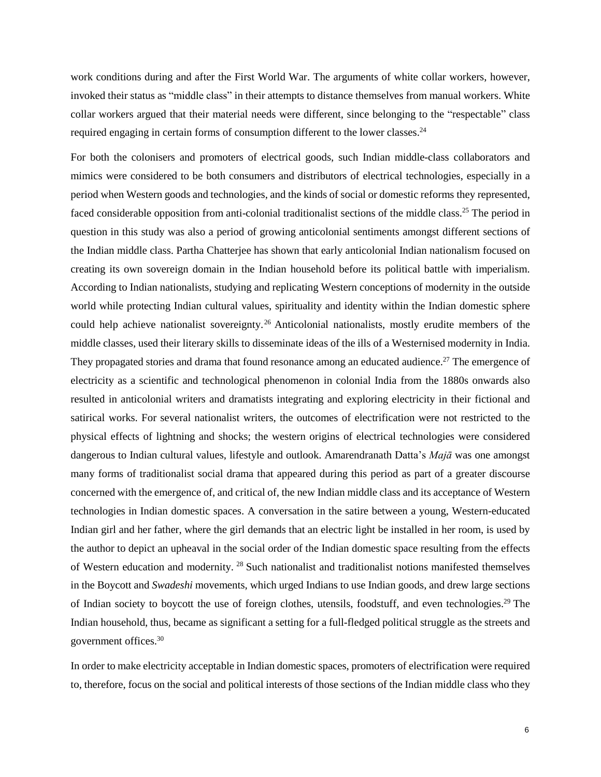work conditions during and after the First World War. The arguments of white collar workers, however, invoked their status as "middle class" in their attempts to distance themselves from manual workers. White collar workers argued that their material needs were different, since belonging to the "respectable" class required engaging in certain forms of consumption different to the lower classes.<sup>24</sup>

For both the colonisers and promoters of electrical goods, such Indian middle-class collaborators and mimics were considered to be both consumers and distributors of electrical technologies, especially in a period when Western goods and technologies, and the kinds of social or domestic reforms they represented, faced considerable opposition from anti-colonial traditionalist sections of the middle class.<sup>25</sup> The period in question in this study was also a period of growing anticolonial sentiments amongst different sections of the Indian middle class. Partha Chatterjee has shown that early anticolonial Indian nationalism focused on creating its own sovereign domain in the Indian household before its political battle with imperialism. According to Indian nationalists, studying and replicating Western conceptions of modernity in the outside world while protecting Indian cultural values, spirituality and identity within the Indian domestic sphere could help achieve nationalist sovereignty.<sup>26</sup> Anticolonial nationalists, mostly erudite members of the middle classes, used their literary skills to disseminate ideas of the ills of a Westernised modernity in India. They propagated stories and drama that found resonance among an educated audience.<sup>27</sup> The emergence of electricity as a scientific and technological phenomenon in colonial India from the 1880s onwards also resulted in anticolonial writers and dramatists integrating and exploring electricity in their fictional and satirical works. For several nationalist writers, the outcomes of electrification were not restricted to the physical effects of lightning and shocks; the western origins of electrical technologies were considered dangerous to Indian cultural values, lifestyle and outlook. Amarendranath Datta's *Majā* was one amongst many forms of traditionalist social drama that appeared during this period as part of a greater discourse concerned with the emergence of, and critical of, the new Indian middle class and its acceptance of Western technologies in Indian domestic spaces. A conversation in the satire between a young, Western-educated Indian girl and her father, where the girl demands that an electric light be installed in her room, is used by the author to depict an upheaval in the social order of the Indian domestic space resulting from the effects of Western education and modernity. <sup>28</sup> Such nationalist and traditionalist notions manifested themselves in the Boycott and *Swadeshi* movements, which urged Indians to use Indian goods, and drew large sections of Indian society to boycott the use of foreign clothes, utensils, foodstuff, and even technologies.<sup>29</sup> The Indian household, thus, became as significant a setting for a full-fledged political struggle as the streets and government offices.<sup>30</sup>

In order to make electricity acceptable in Indian domestic spaces, promoters of electrification were required to, therefore, focus on the social and political interests of those sections of the Indian middle class who they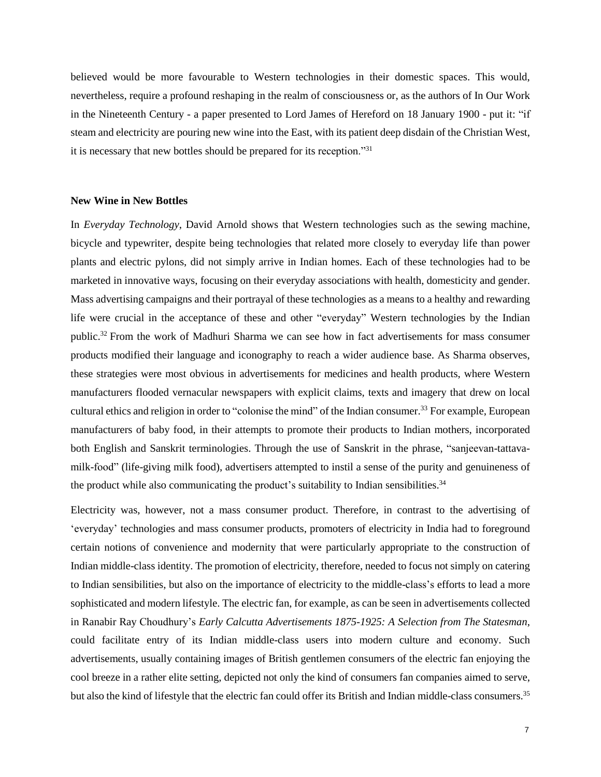believed would be more favourable to Western technologies in their domestic spaces. This would, nevertheless, require a profound reshaping in the realm of consciousness or, as the authors of In Our Work in the Nineteenth Century - a paper presented to Lord James of Hereford on 18 January 1900 - put it: "if steam and electricity are pouring new wine into the East, with its patient deep disdain of the Christian West, it is necessary that new bottles should be prepared for its reception."<sup>31</sup>

## **New Wine in New Bottles**

In *Everyday Technology*, David Arnold shows that Western technologies such as the sewing machine, bicycle and typewriter, despite being technologies that related more closely to everyday life than power plants and electric pylons, did not simply arrive in Indian homes. Each of these technologies had to be marketed in innovative ways, focusing on their everyday associations with health, domesticity and gender. Mass advertising campaigns and their portrayal of these technologies as a means to a healthy and rewarding life were crucial in the acceptance of these and other "everyday" Western technologies by the Indian public.<sup>32</sup> From the work of Madhuri Sharma we can see how in fact advertisements for mass consumer products modified their language and iconography to reach a wider audience base. As Sharma observes, these strategies were most obvious in advertisements for medicines and health products, where Western manufacturers flooded vernacular newspapers with explicit claims, texts and imagery that drew on local cultural ethics and religion in order to "colonise the mind" of the Indian consumer.<sup>33</sup> For example, European manufacturers of baby food, in their attempts to promote their products to Indian mothers, incorporated both English and Sanskrit terminologies. Through the use of Sanskrit in the phrase, "sanjeevan-tattavamilk-food" (life-giving milk food), advertisers attempted to instil a sense of the purity and genuineness of the product while also communicating the product's suitability to Indian sensibilities.<sup>34</sup>

Electricity was, however, not a mass consumer product. Therefore, in contrast to the advertising of 'everyday' technologies and mass consumer products, promoters of electricity in India had to foreground certain notions of convenience and modernity that were particularly appropriate to the construction of Indian middle-class identity. The promotion of electricity, therefore, needed to focus not simply on catering to Indian sensibilities, but also on the importance of electricity to the middle-class's efforts to lead a more sophisticated and modern lifestyle. The electric fan, for example, as can be seen in advertisements collected in Ranabir Ray Choudhury's *Early Calcutta Advertisements 1875-1925: A Selection from The Statesman*, could facilitate entry of its Indian middle-class users into modern culture and economy. Such advertisements, usually containing images of British gentlemen consumers of the electric fan enjoying the cool breeze in a rather elite setting, depicted not only the kind of consumers fan companies aimed to serve, but also the kind of lifestyle that the electric fan could offer its British and Indian middle-class consumers.<sup>35</sup>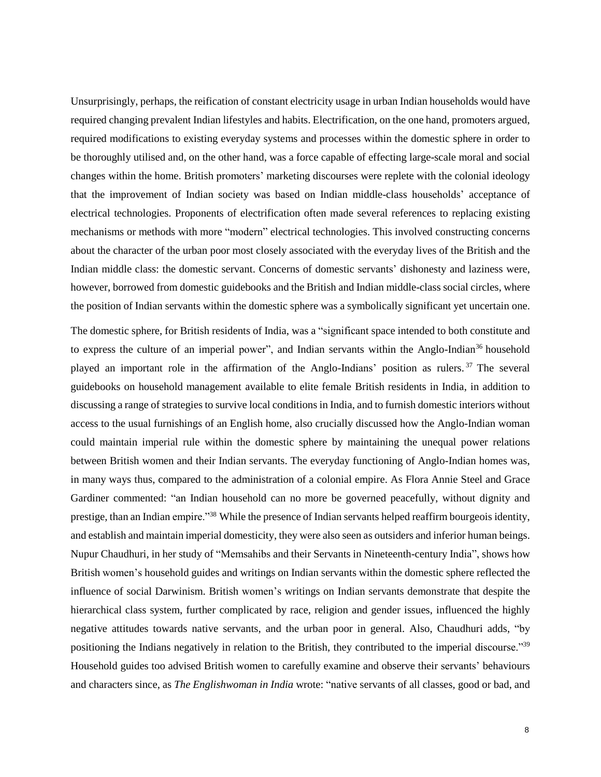Unsurprisingly, perhaps, the reification of constant electricity usage in urban Indian households would have required changing prevalent Indian lifestyles and habits. Electrification, on the one hand, promoters argued, required modifications to existing everyday systems and processes within the domestic sphere in order to be thoroughly utilised and, on the other hand, was a force capable of effecting large-scale moral and social changes within the home. British promoters' marketing discourses were replete with the colonial ideology that the improvement of Indian society was based on Indian middle-class households' acceptance of electrical technologies. Proponents of electrification often made several references to replacing existing mechanisms or methods with more "modern" electrical technologies. This involved constructing concerns about the character of the urban poor most closely associated with the everyday lives of the British and the Indian middle class: the domestic servant. Concerns of domestic servants' dishonesty and laziness were, however, borrowed from domestic guidebooks and the British and Indian middle-class social circles, where the position of Indian servants within the domestic sphere was a symbolically significant yet uncertain one.

The domestic sphere, for British residents of India, was a "significant space intended to both constitute and to express the culture of an imperial power", and Indian servants within the Anglo-Indian<sup>36</sup> household played an important role in the affirmation of the Anglo-Indians' position as rulers. <sup>37</sup> The several guidebooks on household management available to elite female British residents in India, in addition to discussing a range of strategies to survive local conditions in India, and to furnish domestic interiors without access to the usual furnishings of an English home, also crucially discussed how the Anglo-Indian woman could maintain imperial rule within the domestic sphere by maintaining the unequal power relations between British women and their Indian servants. The everyday functioning of Anglo-Indian homes was, in many ways thus, compared to the administration of a colonial empire. As Flora Annie Steel and Grace Gardiner commented: "an Indian household can no more be governed peacefully, without dignity and prestige, than an Indian empire."<sup>38</sup> While the presence of Indian servants helped reaffirm bourgeois identity, and establish and maintain imperial domesticity, they were also seen as outsiders and inferior human beings. Nupur Chaudhuri, in her study of "Memsahibs and their Servants in Nineteenth-century India", shows how British women's household guides and writings on Indian servants within the domestic sphere reflected the influence of social Darwinism. British women's writings on Indian servants demonstrate that despite the hierarchical class system, further complicated by race, religion and gender issues, influenced the highly negative attitudes towards native servants, and the urban poor in general. Also, Chaudhuri adds, "by positioning the Indians negatively in relation to the British, they contributed to the imperial discourse."<sup>39</sup> Household guides too advised British women to carefully examine and observe their servants' behaviours and characters since, as *The Englishwoman in India* wrote: "native servants of all classes, good or bad, and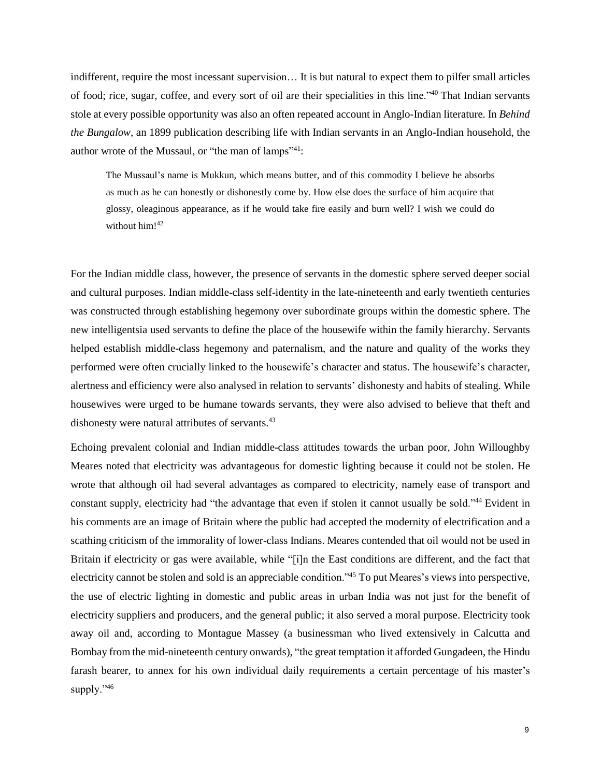indifferent, require the most incessant supervision… It is but natural to expect them to pilfer small articles of food; rice, sugar, coffee, and every sort of oil are their specialities in this line."<sup>40</sup> That Indian servants stole at every possible opportunity was also an often repeated account in Anglo-Indian literature. In *Behind the Bungalow*, an 1899 publication describing life with Indian servants in an Anglo-Indian household, the author wrote of the Mussaul, or "the man of lamps"<sup>41</sup>:

The Mussaul's name is Mukkun, which means butter, and of this commodity I believe he absorbs as much as he can honestly or dishonestly come by. How else does the surface of him acquire that glossy, oleaginous appearance, as if he would take fire easily and burn well? I wish we could do without him!<sup>42</sup>

For the Indian middle class, however, the presence of servants in the domestic sphere served deeper social and cultural purposes. Indian middle-class self-identity in the late-nineteenth and early twentieth centuries was constructed through establishing hegemony over subordinate groups within the domestic sphere. The new intelligentsia used servants to define the place of the housewife within the family hierarchy. Servants helped establish middle-class hegemony and paternalism, and the nature and quality of the works they performed were often crucially linked to the housewife's character and status. The housewife's character, alertness and efficiency were also analysed in relation to servants' dishonesty and habits of stealing. While housewives were urged to be humane towards servants, they were also advised to believe that theft and dishonesty were natural attributes of servants.<sup>43</sup>

Echoing prevalent colonial and Indian middle-class attitudes towards the urban poor, John Willoughby Meares noted that electricity was advantageous for domestic lighting because it could not be stolen. He wrote that although oil had several advantages as compared to electricity, namely ease of transport and constant supply, electricity had "the advantage that even if stolen it cannot usually be sold."<sup>44</sup> Evident in his comments are an image of Britain where the public had accepted the modernity of electrification and a scathing criticism of the immorality of lower-class Indians. Meares contended that oil would not be used in Britain if electricity or gas were available, while "[i]n the East conditions are different, and the fact that electricity cannot be stolen and sold is an appreciable condition."<sup>45</sup> To put Meares's views into perspective, the use of electric lighting in domestic and public areas in urban India was not just for the benefit of electricity suppliers and producers, and the general public; it also served a moral purpose. Electricity took away oil and, according to Montague Massey (a businessman who lived extensively in Calcutta and Bombay from the mid-nineteenth century onwards), "the great temptation it afforded Gungadeen, the Hindu farash bearer, to annex for his own individual daily requirements a certain percentage of his master's supply."46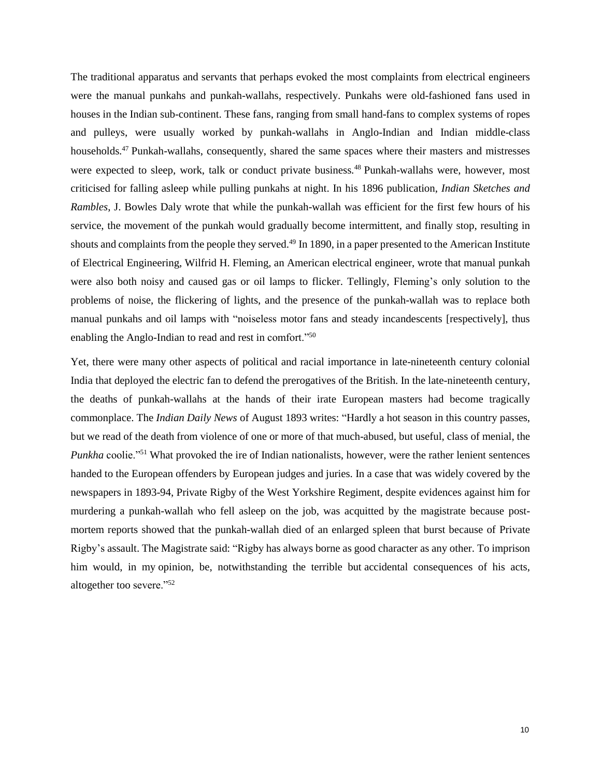The traditional apparatus and servants that perhaps evoked the most complaints from electrical engineers were the manual punkahs and punkah-wallahs, respectively. Punkahs were old-fashioned fans used in houses in the Indian sub-continent. These fans, ranging from small hand-fans to complex systems of ropes and pulleys, were usually worked by punkah-wallahs in Anglo-Indian and Indian middle-class households.<sup>47</sup> Punkah-wallahs, consequently, shared the same spaces where their masters and mistresses were expected to sleep, work, talk or conduct private business.<sup>48</sup> Punkah-wallahs were, however, most criticised for falling asleep while pulling punkahs at night. In his 1896 publication, *Indian Sketches and Rambles*, J. Bowles Daly wrote that while the punkah-wallah was efficient for the first few hours of his service, the movement of the punkah would gradually become intermittent, and finally stop, resulting in shouts and complaints from the people they served.<sup>49</sup> In 1890, in a paper presented to the American Institute of Electrical Engineering, Wilfrid H. Fleming, an American electrical engineer, wrote that manual punkah were also both noisy and caused gas or oil lamps to flicker. Tellingly, Fleming's only solution to the problems of noise, the flickering of lights, and the presence of the punkah-wallah was to replace both manual punkahs and oil lamps with "noiseless motor fans and steady incandescents [respectively], thus enabling the Anglo-Indian to read and rest in comfort."<sup>50</sup>

Yet, there were many other aspects of political and racial importance in late-nineteenth century colonial India that deployed the electric fan to defend the prerogatives of the British. In the late-nineteenth century, the deaths of punkah-wallahs at the hands of their irate European masters had become tragically commonplace. The *Indian Daily News* of August 1893 writes: "Hardly a hot season in this country passes, but we read of the death from violence of one or more of that much-abused, but useful, class of menial, the *Punkha* coolie."<sup>51</sup> What provoked the ire of Indian nationalists, however, were the rather lenient sentences handed to the European offenders by European judges and juries. In a case that was widely covered by the newspapers in 1893-94, Private Rigby of the West Yorkshire Regiment, despite evidences against him for murdering a punkah-wallah who fell asleep on the job, was acquitted by the magistrate because postmortem reports showed that the punkah-wallah died of an enlarged spleen that burst because of Private Rigby's assault. The Magistrate said: "Rigby has always borne as good character as any other. To imprison him would, in my opinion, be, notwithstanding the terrible but accidental consequences of his acts, altogether too severe."<sup>52</sup>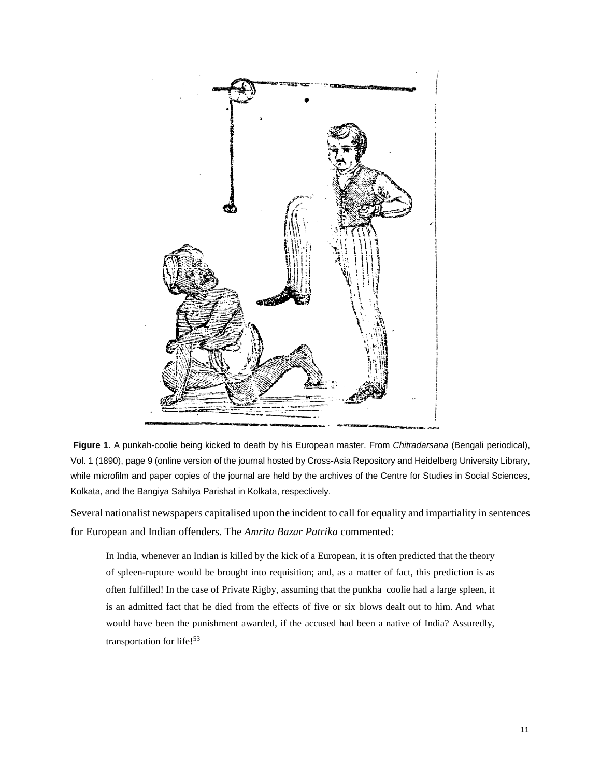

**Figure 1.** A punkah-coolie being kicked to death by his European master. From *Chitradarsana* (Bengali periodical), Vol. 1 (1890), page 9 (online version of the journal hosted by Cross-Asia Repository and Heidelberg University Library, while microfilm and paper copies of the journal are held by the archives of the Centre for Studies in Social Sciences, Kolkata, and the Bangiya Sahitya Parishat in Kolkata, respectively.

Several nationalist newspapers capitalised upon the incident to call for equality and impartiality in sentences for European and Indian offenders. The *Amrita Bazar Patrika* commented:

In India, whenever an Indian is killed by the kick of a European, it is often predicted that the theory of spleen-rupture would be brought into requisition; and, as a matter of fact, this prediction is as often fulfilled! In the case of Private Rigby, assuming that the punkha coolie had a large spleen, it is an admitted fact that he died from the effects of five or six blows dealt out to him. And what would have been the punishment awarded, if the accused had been a native of India? Assuredly, transportation for life!<sup>53</sup>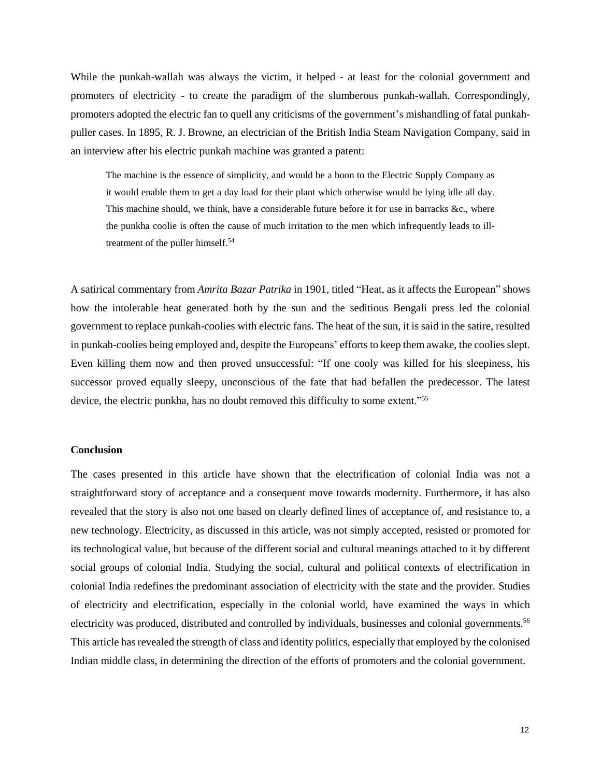While the punkah-wallah was always the victim, it helped - at least for the colonial government and promoters of electricity - to create the paradigm of the slumberous punkah-wallah. Correspondingly, promoters adopted the electric fan to quell any criticisms of the government's mishandling of fatal punkahpuller cases. In 1895, R. J. Browne, an electrician of the British India Steam Navigation Company, said in an interview after his electric punkah machine was granted a patent:

The machine is the essence of simplicity, and would be a boon to the Electric Supply Company as it would enable them to get a day load for their plant which otherwise would be lying idle all day. This machine should, we think, have a considerable future before it for use in barracks &c., where the punkha coolie is often the cause of much irritation to the men which infrequently leads to illtreatment of the puller himself.<sup>54</sup>

A satirical commentary from *Amrita Bazar Patrika* in 1901, titled "Heat, as it affects the European" shows how the intolerable heat generated both by the sun and the seditious Bengali press led the colonial government to replace punkah-coolies with electric fans. The heat of the sun, it is said in the satire, resulted in punkah-coolies being employed and, despite the Europeans' efforts to keep them awake, the coolies slept. Even killing them now and then proved unsuccessful: "If one cooly was killed for his sleepiness, his successor proved equally sleepy, unconscious of the fate that had befallen the predecessor. The latest device, the electric punkha, has no doubt removed this difficulty to some extent."<sup>55</sup>

#### **Conclusion**

The cases presented in this article have shown that the electrification of colonial India was not a straightforward story of acceptance and a consequent move towards modernity. Furthermore, it has also revealed that the story is also not one based on clearly defined lines of acceptance of, and resistance to, a new technology. Electricity, as discussed in this article, was not simply accepted, resisted or promoted for its technological value, but because of the different social and cultural meanings attached to it by different social groups of colonial India. Studying the social, cultural and political contexts of electrification in colonial India redefines the predominant association of electricity with the state and the provider. Studies of electricity and electrification, especially in the colonial world, have examined the ways in which electricity was produced, distributed and controlled by individuals, businesses and colonial governments.<sup>56</sup> This article has revealed the strength of class and identity politics, especially that employed by the colonised Indian middle class, in determining the direction of the efforts of promoters and the colonial government.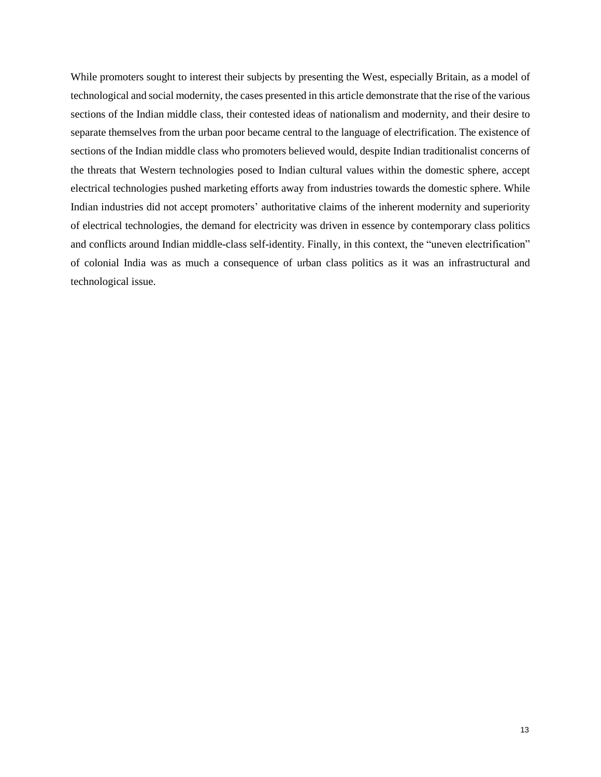While promoters sought to interest their subjects by presenting the West, especially Britain, as a model of technological and social modernity, the cases presented in this article demonstrate that the rise of the various sections of the Indian middle class, their contested ideas of nationalism and modernity, and their desire to separate themselves from the urban poor became central to the language of electrification. The existence of sections of the Indian middle class who promoters believed would, despite Indian traditionalist concerns of the threats that Western technologies posed to Indian cultural values within the domestic sphere, accept electrical technologies pushed marketing efforts away from industries towards the domestic sphere. While Indian industries did not accept promoters' authoritative claims of the inherent modernity and superiority of electrical technologies, the demand for electricity was driven in essence by contemporary class politics and conflicts around Indian middle-class self-identity. Finally, in this context, the "uneven electrification" of colonial India was as much a consequence of urban class politics as it was an infrastructural and technological issue.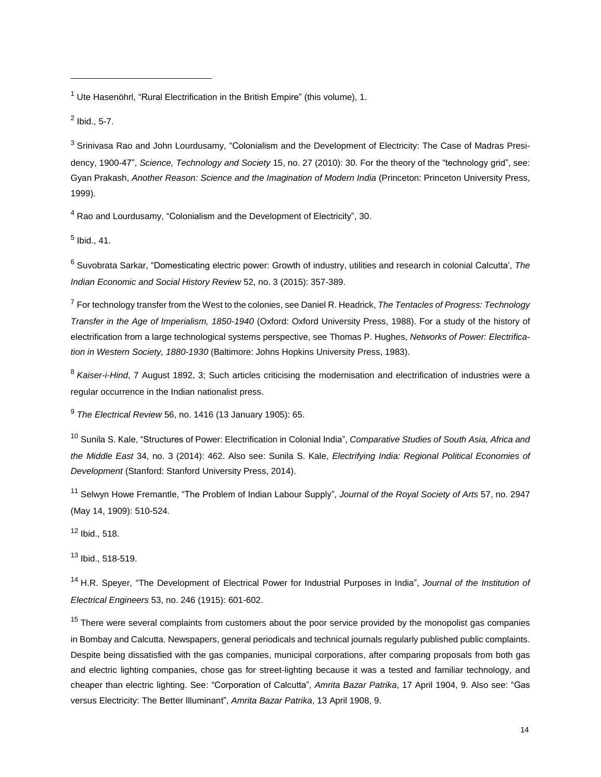$1$  Ute Hasenöhrl, "Rural Electrification in the British Empire" (this volume), 1.

 $2$  Ibid., 5-7.

 $\overline{a}$ 

<sup>3</sup> Srinivasa Rao and John Lourdusamy, "Colonialism and the Development of Electricity: The Case of Madras Presidency, 1900-47", *Science, Technology and Society* 15, no. 27 (2010): 30. For the theory of the "technology grid", see: Gyan Prakash, *Another Reason: Science and the Imagination of Modern India* (Princeton: Princeton University Press, 1999).

<sup>4</sup> Rao and Lourdusamy, "Colonialism and the Development of Electricity", 30.

<sup>5</sup> Ibid., 41.

<sup>6</sup> Suvobrata Sarkar, "Domesticating electric power: Growth of industry, utilities and research in colonial Calcutta', *The Indian Economic and Social History Review* 52, no. 3 (2015): 357-389.

<sup>7</sup> For technology transfer from the West to the colonies, see Daniel R. Headrick, *The Tentacles of Progress: Technology Transfer in the Age of Imperialism, 1850-1940* (Oxford: Oxford University Press, 1988). For a study of the history of electrification from a large technological systems perspective, see Thomas P. Hughes, *Networks of Power: Electrification in Western Society, 1880-1930* (Baltimore: Johns Hopkins University Press, 1983).

<sup>8</sup> *Kaiser-i-Hind*, 7 August 1892, 3; Such articles criticising the modernisation and electrification of industries were a regular occurrence in the Indian nationalist press.

<sup>9</sup> *The Electrical Review* 56, no. 1416 (13 January 1905): 65.

<sup>10</sup> Sunila S. Kale, "Structures of Power: Electrification in Colonial India", *Comparative Studies of South Asia, Africa and the Middle East* 34, no. 3 (2014): 462. Also see: Sunila S. Kale, *Electrifying India: Regional Political Economies of Development* (Stanford: Stanford University Press, 2014).

<sup>11</sup> Selwyn Howe Fremantle, "The Problem of Indian Labour Supply", *Journal of the Royal Society of Arts* 57, no. 2947 (May 14, 1909): 510-524.

 $12$  Ibid., 518.

<sup>13</sup> Ibid., 518-519.

<sup>14</sup> H.R. Speyer, "The Development of Electrical Power for Industrial Purposes in India", *Journal of the Institution of Electrical Engineers* 53, no. 246 (1915): 601-602.

<sup>15</sup> There were several complaints from customers about the poor service provided by the monopolist gas companies in Bombay and Calcutta. Newspapers, general periodicals and technical journals regularly published public complaints. Despite being dissatisfied with the gas companies, municipal corporations, after comparing proposals from both gas and electric lighting companies, chose gas for street-lighting because it was a tested and familiar technology, and cheaper than electric lighting. See: "Corporation of Calcutta", *Amrita Bazar Patrika*, 17 April 1904, 9. Also see: "Gas versus Electricity: The Better Illuminant", *Amrita Bazar Patrika*, 13 April 1908, 9.

14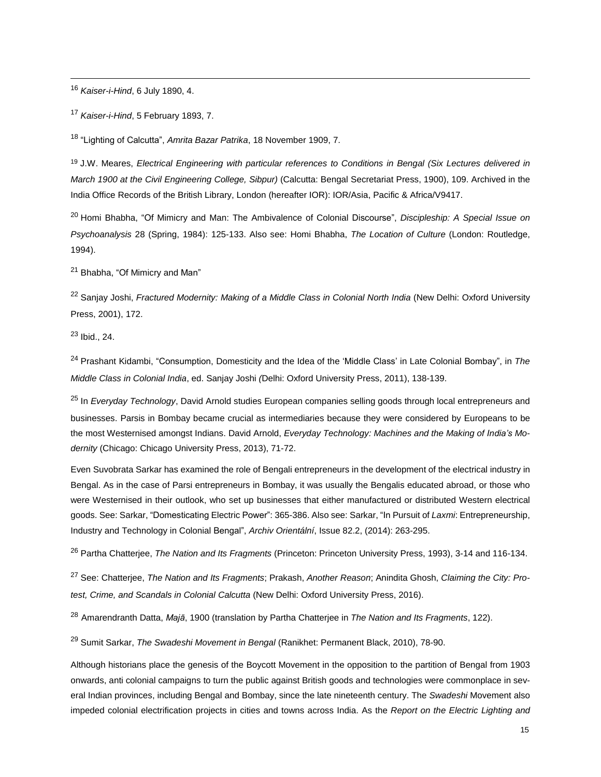<sup>16</sup> *Kaiser-i-Hind*, 6 July 1890, 4.

 $\overline{a}$ 

<sup>17</sup> *Kaiser-i-Hind*, 5 February 1893, 7.

<sup>18</sup> "Lighting of Calcutta", *Amrita Bazar Patrika*, 18 November 1909, 7.

<sup>19</sup> J.W. Meares, *Electrical Engineering with particular references to Conditions in Bengal (Six Lectures delivered in March 1900 at the Civil Engineering College, Sibpur)* (Calcutta: Bengal Secretariat Press, 1900), 109. Archived in the India Office Records of the British Library, London (hereafter IOR): IOR/Asia, Pacific & Africa/V9417.

<sup>20</sup> Homi Bhabha, "Of Mimicry and Man: The Ambivalence of Colonial Discourse", *Discipleship: A Special Issue on Psychoanalysis* 28 (Spring, 1984): 125-133. Also see: Homi Bhabha, *The Location of Culture* (London: Routledge, 1994).

<sup>21</sup> Bhabha, "Of Mimicry and Man"

<sup>22</sup> Sanjay Joshi, *Fractured Modernity: Making of a Middle Class in Colonial North India* (New Delhi: Oxford University Press, 2001), 172.

<sup>23</sup> Ibid., 24.

<sup>24</sup> Prashant Kidambi, "Consumption, Domesticity and the Idea of the 'Middle Class' in Late Colonial Bombay", in *The Middle Class in Colonial India*, ed. Sanjay Joshi *(*Delhi: Oxford University Press, 2011), 138-139.

<sup>25</sup> In *Everyday Technology*, David Arnold studies European companies selling goods through local entrepreneurs and businesses. Parsis in Bombay became crucial as intermediaries because they were considered by Europeans to be the most Westernised amongst Indians. David Arnold, *Everyday Technology: Machines and the Making of India's Modernity* (Chicago: Chicago University Press, 2013), 71-72.

Even Suvobrata Sarkar has examined the role of Bengali entrepreneurs in the development of the electrical industry in Bengal. As in the case of Parsi entrepreneurs in Bombay, it was usually the Bengalis educated abroad, or those who were Westernised in their outlook, who set up businesses that either manufactured or distributed Western electrical goods. See: Sarkar, "Domesticating Electric Power": 365-386. Also see: Sarkar, "In Pursuit of *Laxmi*: Entrepreneurship, Industry and Technology in Colonial Bengal", *Archiv Orientální*, Issue 82.2, (2014): 263-295.

<sup>26</sup> Partha Chatterjee, *The Nation and Its Fragments* (Princeton: Princeton University Press, 1993), 3-14 and 116-134.

<sup>27</sup> See: Chatterjee, *The Nation and Its Fragments*; Prakash, *Another Reason*; Anindita Ghosh, *Claiming the City: Protest, Crime, and Scandals in Colonial Calcutta* (New Delhi: Oxford University Press, 2016).

<sup>28</sup> Amarendranth Datta, *Majā*, 1900 (translation by Partha Chatterjee in *The Nation and Its Fragments*, 122).

<sup>29</sup> Sumit Sarkar, *The Swadeshi Movement in Bengal* (Ranikhet: Permanent Black, 2010), 78-90.

Although historians place the genesis of the Boycott Movement in the opposition to the partition of Bengal from 1903 onwards, anti colonial campaigns to turn the public against British goods and technologies were commonplace in several Indian provinces, including Bengal and Bombay, since the late nineteenth century. The *Swadeshi* Movement also impeded colonial electrification projects in cities and towns across India. As the *Report on the Electric Lighting and*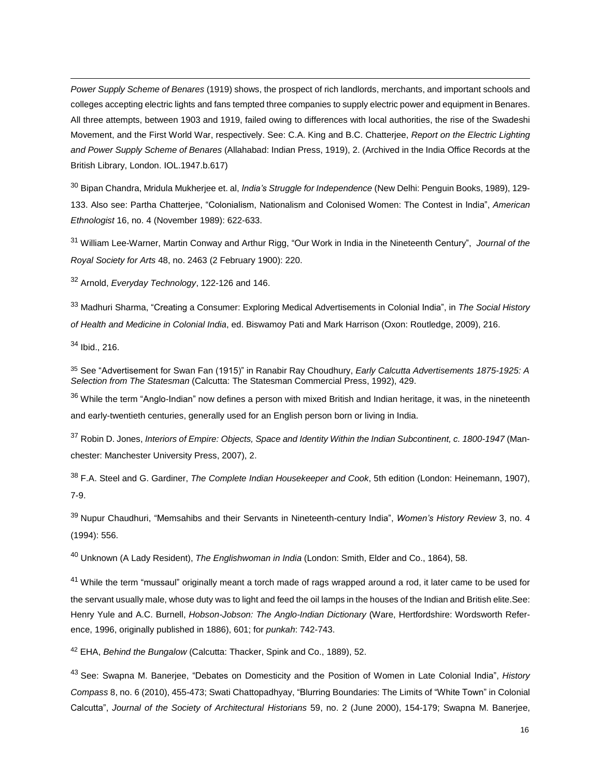*Power Supply Scheme of Benares* (1919) shows, the prospect of rich landlords, merchants, and important schools and colleges accepting electric lights and fans tempted three companies to supply electric power and equipment in Benares. All three attempts, between 1903 and 1919, failed owing to differences with local authorities, the rise of the Swadeshi Movement, and the First World War, respectively. See: C.A. King and B.C. Chatterjee, *Report on the Electric Lighting and Power Supply Scheme of Benares* (Allahabad: Indian Press, 1919), 2. (Archived in the India Office Records at the British Library, London. IOL.1947.b.617)

<sup>30</sup> Bipan Chandra, Mridula Mukherjee et. al, *India's Struggle for Independence* (New Delhi: Penguin Books, 1989), 129- 133. Also see: Partha Chatterjee, "Colonialism, Nationalism and Colonised Women: The Contest in India", *American Ethnologist* 16, no. 4 (November 1989): 622-633.

<sup>31</sup> William Lee-Warner, Martin Conway and Arthur Rigg, "Our Work in India in the Nineteenth Century", *Journal of the Royal Society for Arts* 48, no. 2463 (2 February 1900): 220.

<sup>32</sup> Arnold, *Everyday Technology*, 122-126 and 146.

<sup>33</sup> Madhuri Sharma, "Creating a Consumer: Exploring Medical Advertisements in Colonial India", in *The Social History of Health and Medicine in Colonial India*, ed. Biswamoy Pati and Mark Harrison (Oxon: Routledge, 2009), 216.

<sup>34</sup> Ibid., 216.

 $\overline{a}$ 

<sup>35</sup> See "Advertisement for Swan Fan (1915)" in Ranabir Ray Choudhury, *Early Calcutta Advertisements 1875-1925: A Selection from The Statesman* (Calcutta: The Statesman Commercial Press, 1992), 429.

 $36$  While the term "Anglo-Indian" now defines a person with mixed British and Indian heritage, it was, in the nineteenth and early-twentieth centuries, generally used for an English person born or living in India.

<sup>37</sup> Robin D. Jones, *Interiors of Empire: Objects, Space and Identity Within the Indian Subcontinent, c. 1800-1947* (Manchester: Manchester University Press, 2007), 2.

<sup>38</sup> F.A. Steel and G. Gardiner, *The Complete Indian Housekeeper and Cook*, 5th edition (London: Heinemann, 1907), 7-9.

<sup>39</sup> Nupur Chaudhuri, "Memsahibs and their Servants in Nineteenth-century India", *Women's History Review* 3, no. 4 (1994): 556.

<sup>40</sup> Unknown (A Lady Resident), *The Englishwoman in India* (London: Smith, Elder and Co., 1864), 58.

<sup>41</sup> While the term "mussaul" originally meant a torch made of rags wrapped around a rod, it later came to be used for the servant usually male, whose duty was to light and feed the oil lamps in the houses of the Indian and British elite.See: Henry Yule and A.C. Burnell, *Hobson-Jobson: The Anglo-Indian Dictionary* (Ware, Hertfordshire: Wordsworth Reference, 1996, originally published in 1886), 601; for *punkah*: 742-743.

<sup>42</sup> EHA, *Behind the Bungalow* (Calcutta: Thacker, Spink and Co., 1889), 52.

<sup>43</sup> See: Swapna M. Banerjee, "Debates on Domesticity and the Position of Women in Late Colonial India", *History Compass* 8, no. 6 (2010), 455-473; Swati Chattopadhyay, "Blurring Boundaries: The Limits of "White Town" in Colonial Calcutta", *Journal of the Society of Architectural Historians* 59, no. 2 (June 2000), 154-179; Swapna M. Banerjee,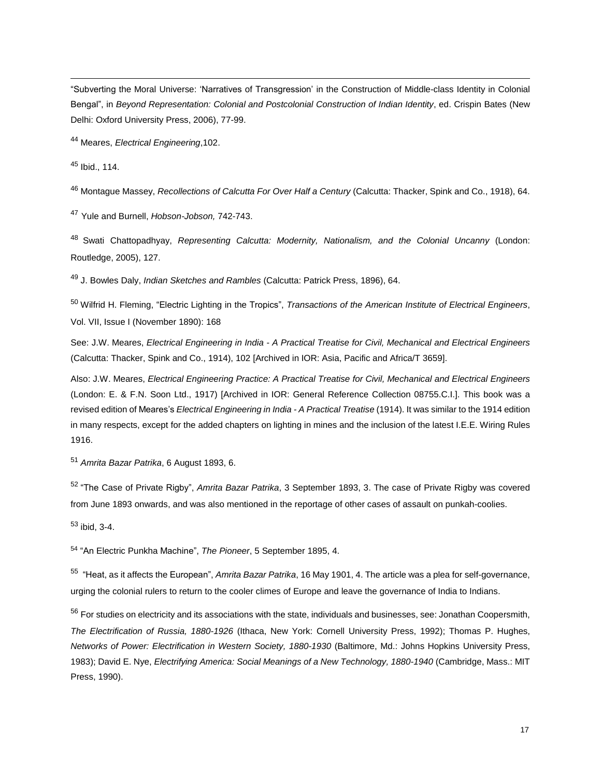"Subverting the Moral Universe: 'Narratives of Transgression' in the Construction of Middle-class Identity in Colonial Bengal", in *Beyond Representation: Colonial and Postcolonial Construction of Indian Identity*, ed. Crispin Bates (New Delhi: Oxford University Press, 2006), 77-99.

<sup>44</sup> Meares, *Electrical Engineering*,102.

<sup>45</sup> Ibid., 114.

 $\overline{a}$ 

<sup>46</sup> Montague Massey, *Recollections of Calcutta For Over Half a Century* (Calcutta: Thacker, Spink and Co., 1918), 64.

<sup>47</sup> Yule and Burnell, *Hobson-Jobson,* 742-743.

<sup>48</sup> Swati Chattopadhyay, *Representing Calcutta: Modernity, Nationalism, and the Colonial Uncanny* (London: Routledge, 2005), 127.

<sup>49</sup> J. Bowles Daly, *Indian Sketches and Rambles* (Calcutta: Patrick Press, 1896), 64.

<sup>50</sup> Wilfrid H. Fleming, "Electric Lighting in the Tropics", *Transactions of the American Institute of Electrical Engineers*, Vol. VII, Issue I (November 1890): 168

See: J.W. Meares, *Electrical Engineering in India - A Practical Treatise for Civil, Mechanical and Electrical Engineers* (Calcutta: Thacker, Spink and Co., 1914), 102 [Archived in IOR: Asia, Pacific and Africa/T 3659].

Also: J.W. Meares, *Electrical Engineering Practice: A Practical Treatise for Civil, Mechanical and Electrical Engineers* (London: E. & F.N. Soon Ltd., 1917) [Archived in IOR: General Reference Collection 08755.C.I.]. This book was a revised edition of Meares's *Electrical Engineering in India - A Practical Treatise* (1914). It was similar to the 1914 edition in many respects, except for the added chapters on lighting in mines and the inclusion of the latest I.E.E. Wiring Rules 1916.

<sup>51</sup> *Amrita Bazar Patrika*, 6 August 1893, 6.

<sup>52</sup> "The Case of Private Rigby", *Amrita Bazar Patrika*, 3 September 1893, 3. The case of Private Rigby was covered from June 1893 onwards, and was also mentioned in the reportage of other cases of assault on punkah-coolies.

 $53$  ibid, 3-4.

<sup>54</sup> "An Electric Punkha Machine", *The Pioneer*, 5 September 1895, 4.

<sup>55</sup> "Heat, as it affects the European", *Amrita Bazar Patrika*, 16 May 1901, 4. The article was a plea for self-governance, urging the colonial rulers to return to the cooler climes of Europe and leave the governance of India to Indians.

<sup>56</sup> For studies on electricity and its associations with the state, individuals and businesses, see: Jonathan Coopersmith, *The Electrification of Russia, 1880-1926* (Ithaca, New York: Cornell University Press, 1992); Thomas P. Hughes, *Networks of Power: Electrification in Western Society, 1880-1930* (Baltimore, Md.: Johns Hopkins University Press, 1983); David E. Nye, *Electrifying America: Social Meanings of a New Technology, 1880-1940* (Cambridge, Mass.: MIT Press, 1990).